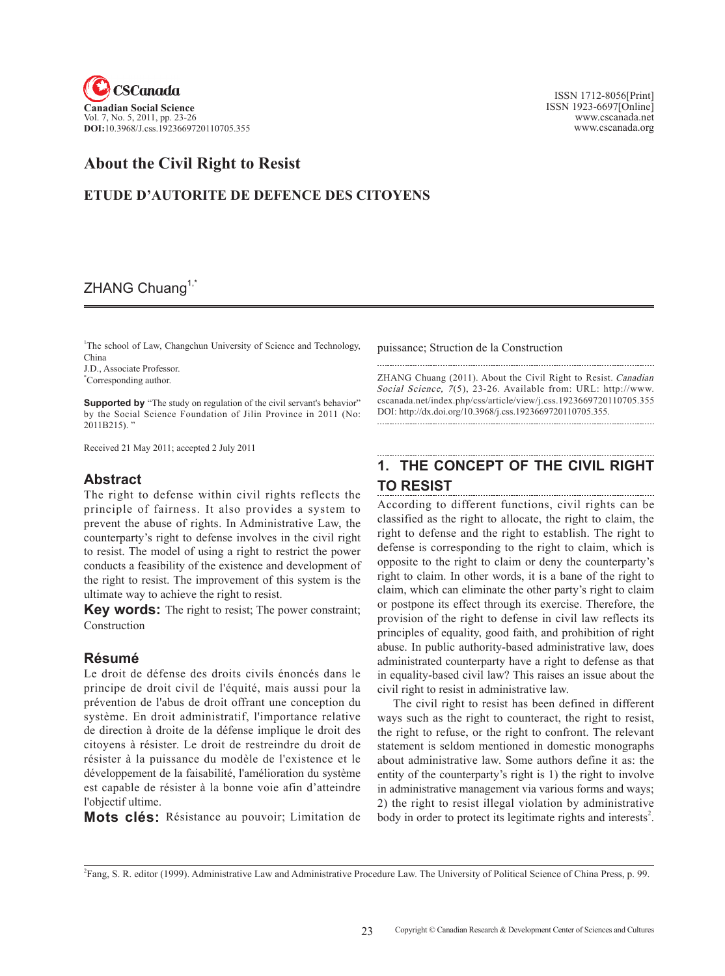

 ISSN 1712-8056[Print] ISSN 1923-6697[Online] www.cscanada.net www.cscanada.org

# **About the Civil Right to Resist**

### **ETUDE D'AUTORITE DE DEFENCE DES CITOYENS**

## ZHANG Chuang<sup>1, $\tilde{ }$ </sup>

<sup>1</sup>The school of Law, Changchun University of Science and Technology, China

J.D., Associate Professor.

\* Corresponding author.

**Supported by** "The study on regulation of the civil servant's behavior" by the Social Science Foundation of Jilin Province in 2011 (No: 2011B215). "

Received 21 May 2011; accepted 2 July 2011

### **Abstract**

The right to defense within civil rights reflects the principle of fairness. It also provides a system to prevent the abuse of rights. In Administrative Law, the counterparty's right to defense involves in the civil right to resist. The model of using a right to restrict the power conducts a feasibility of the existence and development of the right to resist. The improvement of this system is the ultimate way to achieve the right to resist.

**Key words:** The right to resist; The power constraint; construction

### **Résumé**

Le droit de défense des droits civils énoncés dans le principe de droit civil de l'équité, mais aussi pour la prévention de l'abus de droit offrant une conception du système. En droit administratif, l'importance relative de direction à droite de la défense implique le droit des citoyens à résister. Le droit de restreindre du droit de résister à la puissance du modèle de l'existence et le développement de la faisabilité, l'amélioration du système est capable de résister à la bonne voie afin d'atteindre l'objectif ultime.

**Mots clés:** Résistance au pouvoir; Limitation de

puissance; Struction de la Construction

ZHANG Chuang (2011). About the Civil Right to Resist. Canadian Social Science, 7(5), 23-26. Available from: URL: http://www. cscanada.net/index.php/css/article/view/j.css.1923669720110705.355 DOI: http://dx.doi.org/10.3968/j.css.1923669720110705.355.

# **1. THE CONCEPT OF THE CIVIL RIGHT TO RESIST**

According to different functions, civil rights can be classified as the right to allocate, the right to claim, the right to defense and the right to establish. The right to defense is corresponding to the right to claim, which is opposite to the right to claim or deny the counterparty's right to claim. In other words, it is a bane of the right to claim, which can eliminate the other party's right to claim or postpone its effect through its exercise. Therefore, the provision of the right to defense in civil law reflects its principles of equality, good faith, and prohibition of right abuse. In public authority-based administrative law, does administrated counterparty have a right to defense as that in equality-based civil law? This raises an issue about the civil right to resist in administrative law.

The civil right to resist has been defined in different ways such as the right to counteract, the right to resist, the right to refuse, or the right to confront. The relevant statement is seldom mentioned in domestic monographs about administrative law. Some authors define it as: the entity of the counterparty's right is 1) the right to involve in administrative management via various forms and ways; 2) the right to resist illegal violation by administrative body in order to protect its legitimate rights and interests<sup>2</sup>.

2 Fang, S. R. editor (1999). Administrative Law and Administrative Procedure Law. The University of Political Science of China Press, p. 99.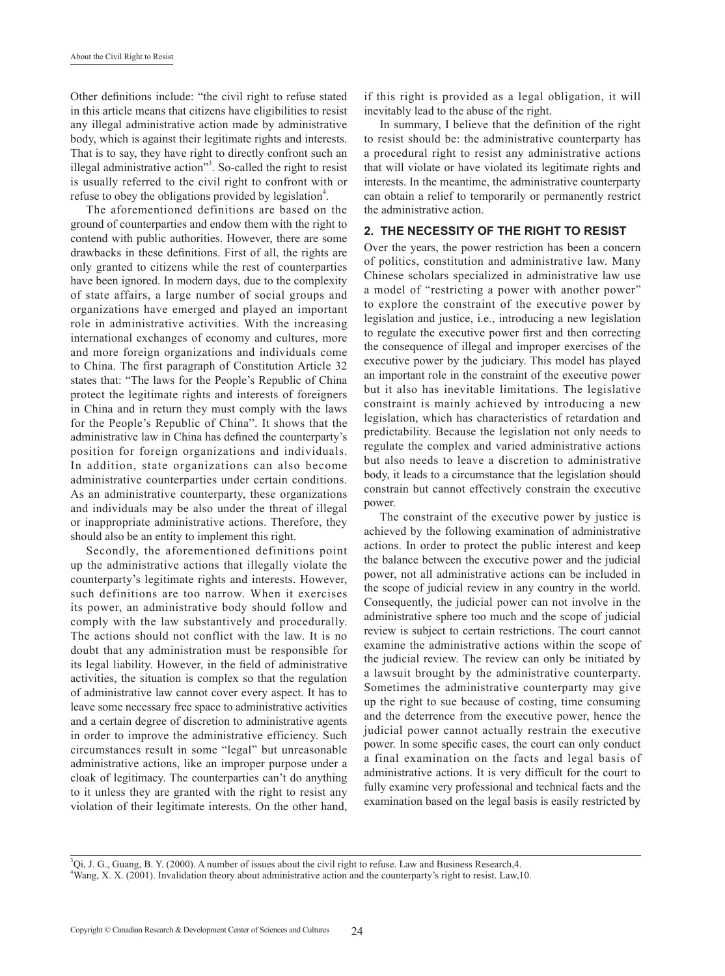Other definitions include: "the civil right to refuse stated in this article means that citizens have eligibilities to resist any illegal administrative action made by administrative body, which is against their legitimate rights and interests. That is to say, they have right to directly confront such an illegal administrative action"<sup>3</sup>. So-called the right to resist is usually referred to the civil right to confront with or refuse to obey the obligations provided by legislation<sup>4</sup>.

The aforementioned definitions are based on the ground of counterparties and endow them with the right to contend with public authorities. However, there are some drawbacks in these definitions. First of all, the rights are only granted to citizens while the rest of counterparties have been ignored. In modern days, due to the complexity of state affairs, a large number of social groups and organizations have emerged and played an important role in administrative activities. With the increasing international exchanges of economy and cultures, more and more foreign organizations and individuals come to China. The first paragraph of Constitution Article 32 states that: "The laws for the People's Republic of China protect the legitimate rights and interests of foreigners in China and in return they must comply with the laws for the People's Republic of China". It shows that the administrative law in China has defined the counterparty's position for foreign organizations and individuals. In addition, state organizations can also become administrative counterparties under certain conditions. As an administrative counterparty, these organizations and individuals may be also under the threat of illegal or inappropriate administrative actions. Therefore, they should also be an entity to implement this right.

Secondly, the aforementioned definitions point up the administrative actions that illegally violate the counterparty's legitimate rights and interests. However, such definitions are too narrow. When it exercises its power, an administrative body should follow and comply with the law substantively and procedurally. The actions should not conflict with the law. It is no doubt that any administration must be responsible for its legal liability. However, in the field of administrative activities, the situation is complex so that the regulation of administrative law cannot cover every aspect. It has to leave some necessary free space to administrative activities and a certain degree of discretion to administrative agents in order to improve the administrative efficiency. Such circumstances result in some "legal" but unreasonable administrative actions, like an improper purpose under a cloak of legitimacy. The counterparties can't do anything to it unless they are granted with the right to resist any violation of their legitimate interests. On the other hand, if this right is provided as a legal obligation, it will inevitably lead to the abuse of the right.

In summary, I believe that the definition of the right to resist should be: the administrative counterparty has a procedural right to resist any administrative actions that will violate or have violated its legitimate rights and interests. In the meantime, the administrative counterparty can obtain a relief to temporarily or permanently restrict the administrative action.

#### **2. THE NECESSITY OF THE RIGHT TO RESIST**

Over the years, the power restriction has been a concern of politics, constitution and administrative law. Many Chinese scholars specialized in administrative law use a model of "restricting a power with another power" to explore the constraint of the executive power by legislation and justice, i.e., introducing a new legislation to regulate the executive power first and then correcting the consequence of illegal and improper exercises of the executive power by the judiciary. This model has played an important role in the constraint of the executive power but it also has inevitable limitations. The legislative constraint is mainly achieved by introducing a new legislation, which has characteristics of retardation and predictability. Because the legislation not only needs to regulate the complex and varied administrative actions but also needs to leave a discretion to administrative body, it leads to a circumstance that the legislation should constrain but cannot effectively constrain the executive power.

The constraint of the executive power by justice is achieved by the following examination of administrative actions. In order to protect the public interest and keep the balance between the executive power and the judicial power, not all administrative actions can be included in the scope of judicial review in any country in the world. Consequently, the judicial power can not involve in the administrative sphere too much and the scope of judicial review is subject to certain restrictions. The court cannot examine the administrative actions within the scope of the judicial review. The review can only be initiated by a lawsuit brought by the administrative counterparty. Sometimes the administrative counterparty may give up the right to sue because of costing, time consuming and the deterrence from the executive power, hence the judicial power cannot actually restrain the executive power. In some specific cases, the court can only conduct a final examination on the facts and legal basis of administrative actions. It is very difficult for the court to fully examine very professional and technical facts and the examination based on the legal basis is easily restricted by

3 Qi, J. G., Guang, B. Y. (2000). A number of issues about the civil right to refuse. Law and Business Research,4. 4 Wang, X. X. (2001). Invalidation theory about administrative action and the counterparty's right to resist. Law,10.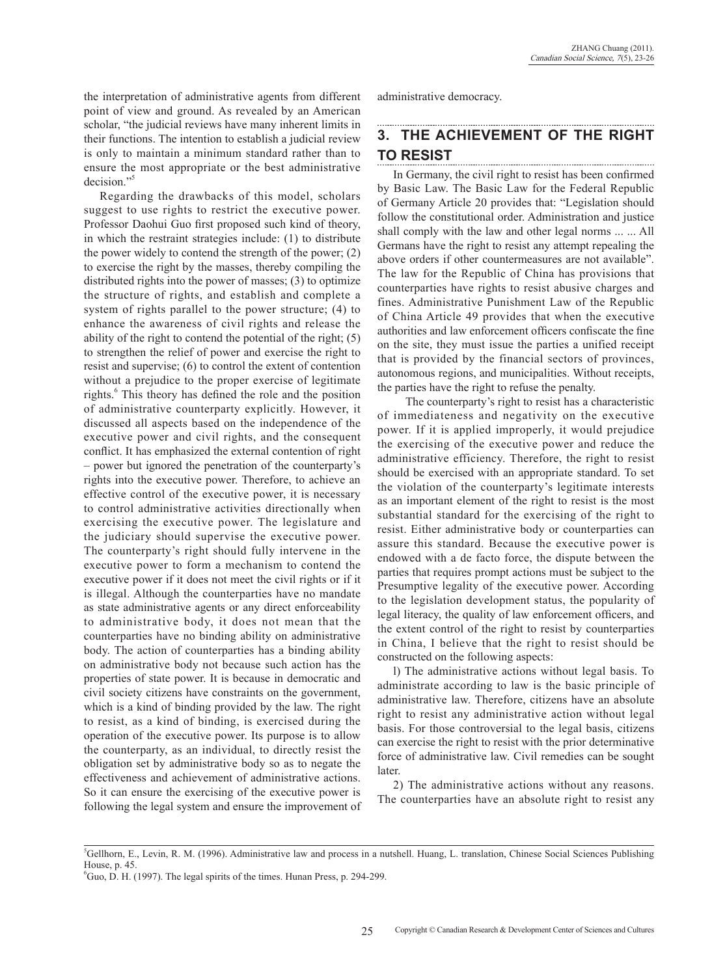the interpretation of administrative agents from different point of view and ground. As revealed by an American scholar, "the judicial reviews have many inherent limits in their functions. The intention to establish a judicial review is only to maintain a minimum standard rather than to ensure the most appropriate or the best administrative decision."<sup>5</sup>

Regarding the drawbacks of this model, scholars suggest to use rights to restrict the executive power. Professor Daohui Guo first proposed such kind of theory, in which the restraint strategies include: (1) to distribute the power widely to contend the strength of the power; (2) to exercise the right by the masses, thereby compiling the distributed rights into the power of masses; (3) to optimize the structure of rights, and establish and complete a system of rights parallel to the power structure; (4) to enhance the awareness of civil rights and release the ability of the right to contend the potential of the right; (5) to strengthen the relief of power and exercise the right to resist and supervise; (6) to control the extent of contention without a prejudice to the proper exercise of legitimate rights.<sup>6</sup> This theory has defined the role and the position of administrative counterparty explicitly. However, it discussed all aspects based on the independence of the executive power and civil rights, and the consequent conflict. It has emphasized the external contention of right – power but ignored the penetration of the counterparty's rights into the executive power. Therefore, to achieve an effective control of the executive power, it is necessary to control administrative activities directionally when exercising the executive power. The legislature and the judiciary should supervise the executive power. The counterparty's right should fully intervene in the executive power to form a mechanism to contend the executive power if it does not meet the civil rights or if it is illegal. Although the counterparties have no mandate as state administrative agents or any direct enforceability to administrative body, it does not mean that the counterparties have no binding ability on administrative body. The action of counterparties has a binding ability on administrative body not because such action has the properties of state power. It is because in democratic and civil society citizens have constraints on the government, which is a kind of binding provided by the law. The right to resist, as a kind of binding, is exercised during the operation of the executive power. Its purpose is to allow the counterparty, as an individual, to directly resist the obligation set by administrative body so as to negate the effectiveness and achievement of administrative actions. So it can ensure the exercising of the executive power is following the legal system and ensure the improvement of

administrative democracy.

#### **3. THE ACHIEVEMENT OF THE RIGHT TO RESIST**

In Germany, the civil right to resist has been confirmed by Basic Law. The Basic Law for the Federal Republic of Germany Article 20 provides that: "Legislation should follow the constitutional order. Administration and justice shall comply with the law and other legal norms ... ... All Germans have the right to resist any attempt repealing the above orders if other countermeasures are not available". The law for the Republic of China has provisions that counterparties have rights to resist abusive charges and fines. Administrative Punishment Law of the Republic of China Article 49 provides that when the executive authorities and law enforcement officers confiscate the fine on the site, they must issue the parties a unified receipt that is provided by the financial sectors of provinces, autonomous regions, and municipalities. Without receipts, the parties have the right to refuse the penalty.

 The counterparty's right to resist has a characteristic of immediateness and negativity on the executive power. If it is applied improperly, it would prejudice the exercising of the executive power and reduce the administrative efficiency. Therefore, the right to resist should be exercised with an appropriate standard. To set the violation of the counterparty's legitimate interests as an important element of the right to resist is the most substantial standard for the exercising of the right to resist. Either administrative body or counterparties can assure this standard. Because the executive power is endowed with a de facto force, the dispute between the parties that requires prompt actions must be subject to the Presumptive legality of the executive power. According to the legislation development status, the popularity of legal literacy, the quality of law enforcement officers, and the extent control of the right to resist by counterparties in China, I believe that the right to resist should be constructed on the following aspects:

l) The administrative actions without legal basis. To administrate according to law is the basic principle of administrative law. Therefore, citizens have an absolute right to resist any administrative action without legal basis. For those controversial to the legal basis, citizens can exercise the right to resist with the prior determinative force of administrative law. Civil remedies can be sought later.

2) The administrative actions without any reasons. The counterparties have an absolute right to resist any

<sup>5</sup> Gellhorn, E., Levin, R. M. (1996). Administrative law and process in a nutshell. Huang, L. translation, Chinese Social Sciences Publishing House, p. 45.

<sup>6</sup> Guo, D. H. (1997). The legal spirits of the times. Hunan Press, p. 294-299.